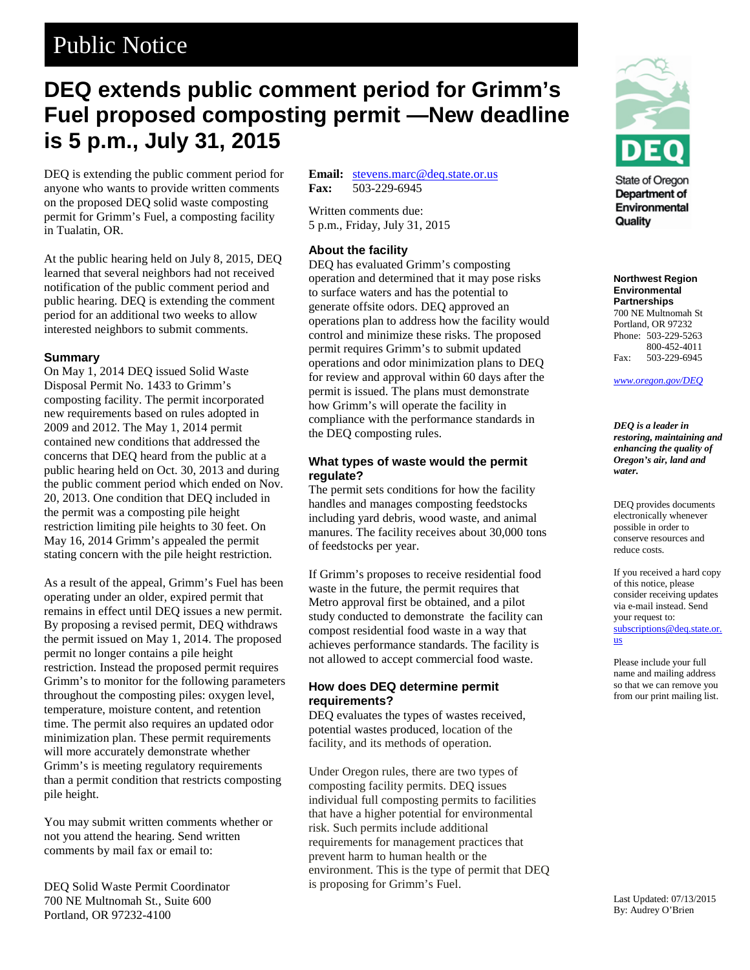# Public Notice

# **DEQ extends public comment period for Grimm's Fuel proposed composting permit —New deadline is 5 p.m., July 31, 2015**

DEQ is extending the public comment period for anyone who wants to provide written comments on the proposed DEQ solid waste composting permit for Grimm's Fuel, a composting facility in Tualatin, OR.

At the public hearing held on July 8, 2015, DEQ learned that several neighbors had not received notification of the public comment period and public hearing. DEQ is extending the comment period for an additional two weeks to allow interested neighbors to submit comments.

#### **Summary**

On May 1, 2014 DEQ issued Solid Waste Disposal Permit No. 1433 to Grimm's composting facility. The permit incorporated new requirements based on rules adopted in 2009 and 2012. The May 1, 2014 permit contained new conditions that addressed the concerns that DEQ heard from the public at a public hearing held on Oct. 30, 2013 and during the public comment period which ended on Nov. 20, 2013. One condition that DEQ included in the permit was a composting pile height restriction limiting pile heights to 30 feet. On May 16, 2014 Grimm's appealed the permit stating concern with the pile height restriction.

As a result of the appeal, Grimm's Fuel has been operating under an older, expired permit that remains in effect until DEQ issues a new permit. By proposing a revised permit, DEQ withdraws the permit issued on May 1, 2014. The proposed permit no longer contains a pile height restriction. Instead the proposed permit requires Grimm's to monitor for the following parameters throughout the composting piles: oxygen level, temperature, moisture content, and retention time. The permit also requires an updated odor minimization plan. These permit requirements will more accurately demonstrate whether Grimm's is meeting regulatory requirements than a permit condition that restricts composting pile height.

You may submit written comments whether or not you attend the hearing. Send written comments by mail fax or email to:

DEQ Solid Waste Permit Coordinator 700 NE Multnomah St., Suite 600 Portland, OR 97232-4100

**Email:** <u>[stevens.marc@deq.state.or.us](mailto:stevens.marc@deq.state.or.us)</u><br>Fax: 503-229-6945 **Fax:** 503-229-6945

Written comments due: 5 p.m., Friday, July 31, 2015

### **About the facility**

DEQ has evaluated Grimm's composting operation and determined that it may pose risks to surface waters and has the potential to generate offsite odors. DEQ approved an operations plan to address how the facility would control and minimize these risks. The proposed permit requires Grimm's to submit updated operations and odor minimization plans to DEQ for review and approval within 60 days after the permit is issued. The plans must demonstrate how Grimm's will operate the facility in compliance with the performance standards in the DEQ composting rules.

#### **What types of waste would the permit regulate?**

The permit sets conditions for how the facility handles and manages composting feedstocks including yard debris, wood waste, and animal manures. The facility receives about 30,000 tons of feedstocks per year.

If Grimm's proposes to receive residential food waste in the future, the permit requires that Metro approval first be obtained, and a pilot study conducted to demonstrate the facility can compost residential food waste in a way that achieves performance standards. The facility is not allowed to accept commercial food waste.

### **How does DEQ determine permit requirements?**

DEQ evaluates the types of wastes received, potential wastes produced, location of the facility, and its methods of operation.

Under Oregon rules, there are two types of composting facility permits. DEQ issues individual full composting permits to facilities that have a higher potential for environmental risk. Such permits include additional requirements for management practices that prevent harm to human health or the environment. This is the type of permit that DEQ is proposing for Grimm's Fuel.



State of Oregon Department of Environmental Quality

**Northwest Region Environmental Partnerships** 700 NE Multnomah St Portland, OR 97232 Phone: 503-229-5263 800-452-4011 Fax: 503-229-6945

*www.oregon.gov/DEQ*

*DEQ is a leader in restoring, maintaining and enhancing the quality of Oregon's air, land and water.*

DEQ provides documents electronically whenever possible in order to conserve resources and reduce costs.

If you received a hard copy of this notice, please consider receiving updates via e-mail instead. Send your request to: [subscriptions@deq.state.or.](mailto:subscriptions@deq.state.or.us) [us](mailto:subscriptions@deq.state.or.us)

Please include your full name and mailing address so that we can remove you from our print mailing list.